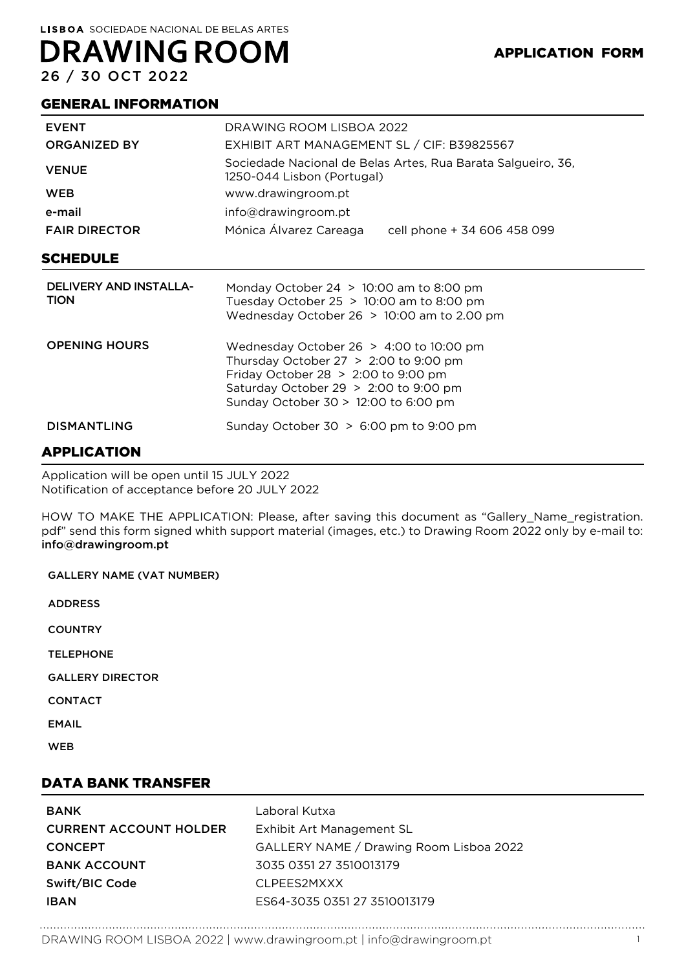# **DRAWING ROOM**

26 / 30 OCT 2022

#### GENERAL INFORMATION

| <b>EVENT</b>                                 | DRAWING ROOM LISBOA 2022                                                                                                                                                                                         |
|----------------------------------------------|------------------------------------------------------------------------------------------------------------------------------------------------------------------------------------------------------------------|
| <b>ORGANIZED BY</b>                          | EXHIBIT ART MANAGEMENT SL / CIF: B39825567                                                                                                                                                                       |
| <b>VENUE</b>                                 | Sociedade Nacional de Belas Artes, Rua Barata Salgueiro, 36,<br>1250-044 Lisbon (Portugal)                                                                                                                       |
| <b>WEB</b>                                   | www.drawingroom.pt                                                                                                                                                                                               |
| e-mail                                       | info@drawingroom.pt                                                                                                                                                                                              |
| <b>FAIR DIRECTOR</b>                         | Mónica Álvarez Careaga<br>cell phone + 34 606 458 099                                                                                                                                                            |
| SCHEDULE                                     |                                                                                                                                                                                                                  |
| <b>DELIVERY AND INSTALLA-</b><br><b>TION</b> | Monday October 24 $> 10:00$ am to 8:00 pm<br>Tuesday October 25 $> 10:00$ am to 8:00 pm<br>Wednesday October 26 $> 10:00$ am to 2.00 pm                                                                          |
| <b>OPENING HOURS</b>                         | Wednesday October 26 $>$ 4:00 to 10:00 pm<br>Thursday October $27 > 2:00$ to 9:00 pm<br>Friday October 28 $>$ 2:00 to 9:00 pm<br>Saturday October 29 $>$ 2:00 to 9:00 pm<br>Sunday October 30 > 12:00 to 6:00 pm |
| <b>DISMANTLING</b>                           | Sunday October $30 > 6:00$ pm to 9:00 pm                                                                                                                                                                         |

### APPLICATION

Application will be open until 15 JULY 2022 Notification of acceptance before 20 JULY 2022

HOW TO MAKE THE APPLICATION: Please, after saving this document as "Gallery\_Name\_registration. pdf" send this form signed whith support material (images, etc.) to Drawing Room 2022 only by e-mail to: info@drawingroom.pt

| <b>GALLERY NAME (VAT NUMBER)</b>  |
|-----------------------------------|
| <b>ADDRESS</b>                    |
| <b>COUNTRY</b>                    |
| <b>TELEPHONE</b>                  |
| <b>GALLERY DIRECTOR</b>           |
| <b>CONTACT</b>                    |
| <b>EMAIL</b>                      |
| <b>WEB</b>                        |
| - - - - - - - - - - - - - -<br>-- |

#### DATA BANK TRANSFER

| <b>BANK</b>                   | Laboral Kutxa                           |
|-------------------------------|-----------------------------------------|
| <b>CURRENT ACCOUNT HOLDER</b> | Exhibit Art Management SL               |
| <b>CONCEPT</b>                | GALLERY NAME / Drawing Room Lisboa 2022 |
| <b>BANK ACCOUNT</b>           | 3035 0351 27 3510013179                 |
| Swift/BIC Code                | CLPFFS2MXXX                             |
| <b>IBAN</b>                   | ES64-3035 0351 27 3510013179            |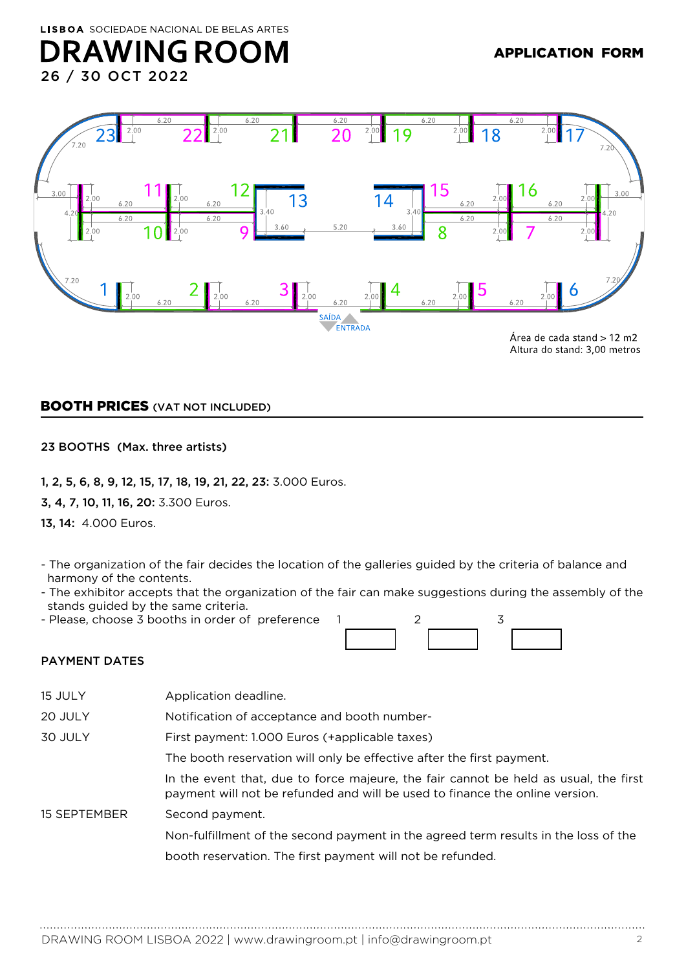### **DRAWING ROOM** 26 / 30 OCT 2022



BOOTH PRICES (VAT NOT INCLUDED)

23 BOOTHS (Max. three artists)

1, 2, 5, 6, 8, 9, 12, 15, 17, 18, 19, 21, 22, 23: 3.000 Euros.

3, 4, 7, 10, 11, 16, 20: 3.300 Euros.

13, 14: 4.000 Euros.

- The organization of the fair decides the location of the galleries guided by the criteria of balance and harmony of the contents.
- The exhibitor accepts that the organization of the fair can make suggestions during the assembly of the stands guided by the same criteria.
- Please, choose 3 booths in order of preference 1 2 3



#### PAYMENT DATES

| 15 JULY      | Application deadline.                                                                                                                                                |
|--------------|----------------------------------------------------------------------------------------------------------------------------------------------------------------------|
| 20 JULY      | Notification of acceptance and booth number-                                                                                                                         |
| 30 JULY      | First payment: 1.000 Euros (+applicable taxes)                                                                                                                       |
|              | The booth reservation will only be effective after the first payment.                                                                                                |
|              | In the event that, due to force majeure, the fair cannot be held as usual, the first<br>payment will not be refunded and will be used to finance the online version. |
| 15 SEPTEMBER | Second payment.                                                                                                                                                      |
|              | Non-fulfillment of the second payment in the agreed term results in the loss of the                                                                                  |
|              | booth reservation. The first payment will not be refunded.                                                                                                           |
|              |                                                                                                                                                                      |